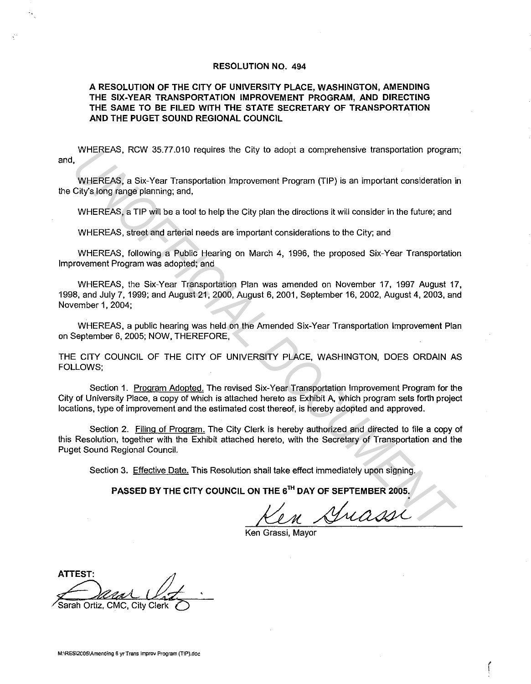### **RESOLUTION NO. 494**

### **A RESOLUTION OF THE CITY OF UNIVERSITY PLACE, WASHINGTON, AMENDING THE SIX-YEAR TRANSPORTATION IMPROVEMENT PROGRAM, AND DIRECTING THE SAME TO BE FILED WITH THE STATE SECRETARY OF TRANSPORTATION AND THE PUGET SOUND REGIONAL COUNCIL**

WHEREAS, RCW 35.77.010 requires the City to adopt a comprehensive transportation program; and,

WHEREAS, a Six-Year Transportation Improvement Program (TIP) is an important consideration in the City's long range planning; and,

WHEREAS, a TIP will be a tool to help the City plan the directions it will consider in the future; and

WHEREAS, street and arterial needs are important considerations to the City; and

WHEREAS, following a Public Hearing on March 4, 1996, the proposed Six-Year Transportation Improvement Program was adopted; and

WHEREAS, the Six-Year Transportation Plan was amended on November 17, 1997 August 17, 1998, and July 7, 1999; and August 21, 2000, August 6, 2001, September 16, 2002, August 4, 2003, and November 1, 2004; WHEREAS, RCW 35.77.010 requires the Gity to adopt a comprehensive transportation program<br>
WHEREAS, a Stx-Year Transportation Improvement Program (TIP) is an important consideration in<br>
City's long renge pianning; and,<br>
WHE

WHEREAS, a public hearing was held on the Amended Six-Year Transportation Improvement Plan on September 6, 2005; NOW, THEREFORE,

THE CITY COUNCIL OF **THE** CITY OF UNIVERSITY PLACE, WASHINGTON, DOES ORDAIN AS FOLLOWS;

Section 1. Program Adopted. The revised Six-Year Transportation Improvement Program for the City of University Place, a copy of which is attached hereto as Exhibit A, which program sets forth project locations, type of improvement and the estimated cost thereof, is hereby adopted and approved.

Section 2. Filing of Program. The City Clerk is hereby authorized and directed to file a copy of this Resolution, together with the Exhibit attached hereto, with the Secretary of Transportation and the Puget Sound Regional Council.

Section 3. Effective Date. This Resolution shall take effect immediately upon signing.

**PASSED BY THE CITY COUNCIL ON THE s•" DAY OF SEPTEMBER 2005.** 

(

Ken Grassi, Mayor

**ATTEST:** 

Sarah Ortiz, CMC, City Clerk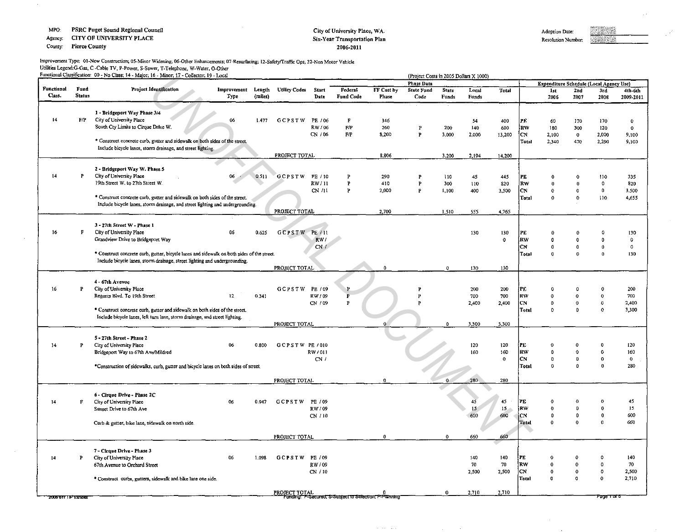Agency: CITY OF UNIVERSITY PLACE

County Pierce County

#### City or University Place, WA. Six-Year Transportation Plan 2006-2011



 $\sim$   $\epsilon$ 

Improvement Type: 01-New Construction; 05-Minor Widening; 06-0ther Enhancements; 07-Resurfacing; 12-SafetyiTraffic Ops; 32-Non Motor Vehicle Utilities Legend:G-Gas, C -Cable TV, P-Power, S-Sewer, T-Telephone, W-Water, O-Other Eunctional Classification: 00 - No Class; 14 - Major; 16 - Minor; 17 - Collector; 19 - Local

|                   |               | Functional Classification: 00 - No Class; 14 - Major; 16 - Minor; 17 - Collector; 19 - Local |                    |         |                      |                  |                                                        |             | (Project Costs in 2005 Dollars X 1000) |                       |                |                  |                                     |                                         |                             |               |                        |
|-------------------|---------------|----------------------------------------------------------------------------------------------|--------------------|---------|----------------------|------------------|--------------------------------------------------------|-------------|----------------------------------------|-----------------------|----------------|------------------|-------------------------------------|-----------------------------------------|-----------------------------|---------------|------------------------|
| Functional        | Fund          | <b>Project Identification</b>                                                                | Improvement Length |         | <b>Utility Codes</b> | Start            | Federal                                                | FF Cost by  | Phase Data                             |                       |                |                  |                                     | Expenditure Schedule (Local Agency Use) |                             |               |                        |
| Class.            | <b>Status</b> |                                                                                              | Туре               | (miles) |                      | Date             | <b>Fund Code</b>                                       | Phase       | <b>State Fund</b><br>Code              | <b>State</b><br>Funds | Local<br>Funds | Total            |                                     | 1st<br>2006                             | 2nd<br>2007                 | 3rd<br>2008   | $4th-6th$<br>2009-2011 |
|                   |               | 1 - Bridgeport Way Phase 3/4                                                                 |                    |         |                      |                  |                                                        |             |                                        |                       |                |                  |                                     |                                         |                             |               |                        |
| $\mathbf{14}$     | F/P           | City of University Place                                                                     | 06                 | 1.477   | <b>GCPSTW</b>        | PE / 06          | F                                                      | 346         |                                        |                       | 54             | 400              | PE                                  | 60                                      | 170                         | 170           | $\mathbf 0$            |
|                   |               | South Cty Limits to Cirque Drive W.                                                          |                    |         |                      | RW/06            | F/P                                                    | 260         | $\mathbf{P}$                           | 200                   | 140            | 600              | RW                                  | 180                                     | 300                         | 120           | $\mathbf 0$            |
|                   |               |                                                                                              |                    |         |                      | CN / 06          | ${\rm F/P}$                                            | 8.200       | $\mathbf{P}$                           | 3,000                 | 2,000          | 13,200           | lсN                                 | 2,100                                   | $\mathbf{o}$                | 2,000         | 9,100                  |
|                   |               | * Construct concrete curb, gutter and sidewalk on both sides of the street.                  |                    |         |                      |                  |                                                        |             |                                        |                       |                |                  | Total                               | 2.340                                   | 470                         | 2,290         | 9,100                  |
|                   |               | Include bicycle lanes, storm drainage, and street lighting.                                  |                    |         |                      |                  |                                                        |             |                                        |                       |                |                  |                                     |                                         |                             |               |                        |
|                   |               |                                                                                              |                    |         | PROJECT TOTAL        |                  |                                                        | 8,806       |                                        | 3,200                 | 2.194          | 14.200           |                                     |                                         |                             |               |                        |
|                   |               | 2 - Bridgeport Way W. Phase 5                                                                |                    |         |                      |                  |                                                        |             |                                        |                       |                |                  |                                     |                                         |                             |               |                        |
| 14                | P             | City of University Place                                                                     | 06                 | 0.511   | GCPSTW               | PE / 10          | Þ                                                      | 290         | Þ                                      | 110                   | 45             | 445              | PE                                  |                                         | $\mathbf{o}$                | 110           | 335                    |
|                   |               | 19th Street W. to 27th Street W.                                                             |                    |         |                      | RW/11            | $\mathbf{P}$                                           | 410         | p                                      | 300                   | 110            | 820              | RW                                  | $\mathbf 0$                             | $\Omega$                    | $\mathbf 0$   | 820                    |
|                   |               |                                                                                              |                    |         |                      | CN /11           | P                                                      | 2,000       | P                                      | 1,100                 | 400            | 3.500            | <b>CN</b>                           | 0                                       | 0                           | 0             | 3.500                  |
|                   |               | * Construct concrete curb, gutter and sidewalk on both sides of the street.                  |                    |         |                      |                  |                                                        |             |                                        |                       |                |                  | Total                               | $\Omega$                                | $\Omega$                    | 110           | 4,655                  |
|                   |               | Include bicycle lanes, storm drainage, and street lighting and undergrounding.               |                    |         |                      |                  |                                                        |             |                                        |                       |                |                  |                                     |                                         |                             |               |                        |
|                   |               |                                                                                              |                    |         | PROJECT TOTAL        |                  |                                                        | 2,700       |                                        | 1,510                 | 555            | 4,765            |                                     |                                         |                             |               |                        |
|                   |               |                                                                                              |                    |         |                      |                  |                                                        |             |                                        |                       |                |                  |                                     |                                         |                             |               |                        |
| 16                | F             | 3 - 27th Street W - Phase 1<br>City of University Place                                      | 06                 | 0.625   | GCPSTW PE/11         |                  |                                                        |             |                                        |                       |                |                  |                                     |                                         | $\Omega$                    |               |                        |
|                   |               | Grandview Drive to Bridgeport Way                                                            |                    |         |                      | RW/              |                                                        |             |                                        |                       | 130            | 130<br>$\bullet$ | PE<br><b>RW</b>                     | n                                       | $\mathbf 0$                 | n             | 130<br>0               |
|                   |               |                                                                                              |                    |         |                      | CN/              |                                                        |             |                                        |                       |                |                  | CN                                  | n                                       | $\mathbf{0}$                | $\mathbf{u}$  | $\mathbf 0$            |
|                   |               | * Construct concrete curb, gutter, bicycle lanes and sidewalk on both sides of the street.   |                    |         |                      |                  |                                                        |             |                                        |                       |                |                  | Total                               |                                         | 0                           |               | 130                    |
|                   |               | Include bicycle lanes, storm drainage, street lighting and undergrounding.                   |                    |         |                      |                  |                                                        |             |                                        |                       |                |                  |                                     |                                         |                             |               |                        |
|                   |               |                                                                                              |                    |         | PROJECT TOTAL        |                  |                                                        | $\Omega$    |                                        | $\Omega$              | 130            | 130              |                                     |                                         |                             |               |                        |
|                   |               |                                                                                              |                    |         |                      |                  |                                                        |             |                                        |                       |                |                  |                                     |                                         |                             |               |                        |
|                   |               | 4 - 67th Avenue                                                                              |                    |         |                      |                  |                                                        |             |                                        |                       |                |                  |                                     |                                         |                             |               |                        |
| 16                | $\mathbf{P}$  | City of University Place<br>Regents Bivd. To 19th Street                                     | 12                 | 0.341   | GCPSTW PE / 09       | RW / 09          | Þ                                                      |             |                                        |                       | 200<br>700     | 200<br>700       | PE<br><b>RW</b>                     | $\Omega$<br>$\Omega$                    | 0<br>$\mathbf{o}$           | $\theta$      | 200<br>700             |
|                   |               |                                                                                              |                    |         |                      | CN / 09          | $\mathbf{P}$                                           |             |                                        |                       | 2,400          | 2,400            | <b>CN</b>                           | $\Omega$                                | $\mathbf 0$                 | $\mathbf 0$   | 2,400                  |
|                   |               | * Construct concrete curb, gutter and sidewalk on both sides of the street.                  |                    |         |                      |                  |                                                        |             |                                        |                       |                |                  | <b>Total</b>                        | $\Omega$                                | $\Omega$                    | $\Omega$      | 3,300                  |
|                   |               | Include bicycle lanes, left turn lane, storm drainage, and street lighting.                  |                    |         |                      |                  |                                                        |             |                                        |                       |                |                  |                                     |                                         |                             |               |                        |
|                   |               |                                                                                              |                    |         | PROJECT TOTAL        |                  |                                                        | $\Omega$    |                                        | $\mathbf{0}$          | 3,300          | 3,300            |                                     |                                         |                             |               |                        |
|                   |               |                                                                                              |                    |         |                      |                  |                                                        |             |                                        |                       |                |                  |                                     |                                         |                             |               |                        |
|                   |               | 5 - 27th Street - Phase 2                                                                    |                    |         |                      |                  |                                                        |             |                                        |                       |                |                  |                                     |                                         |                             |               |                        |
| 14                | P             | City of University Place                                                                     | 06                 | 0.800   | GCPSTW PE / 010      |                  |                                                        |             |                                        |                       | 120<br>160     | 120<br>160       | $\mathbf{P}\mathbf{E}$<br><b>RW</b> | $\mathbf{a}$                            | $\theta$<br>$\mathbf 0$     | n<br>$\Omega$ | 120<br>160             |
|                   |               | Bridgeport Way to 67th Ave/Mildred                                                           |                    |         |                      | RW/011<br>CN/    |                                                        |             |                                        |                       |                | $\Omega$         | CN                                  | $\Omega$                                | $\Omega$                    | $\Omega$      | $\mathbf{o}$           |
|                   |               | *Construction of sidewalks, curb, gutter and bicycle lanes on both sides of street.          |                    |         |                      |                  |                                                        |             |                                        |                       |                |                  | <b>Total</b>                        | $\Omega$                                | $\theta$                    | n             | 280                    |
|                   |               |                                                                                              |                    |         |                      |                  |                                                        |             |                                        |                       |                |                  |                                     |                                         |                             |               |                        |
|                   |               |                                                                                              |                    |         | PROJECT TOTAL        |                  |                                                        | 0           |                                        | $\mathbf 0$           | 280            | 280              |                                     |                                         |                             |               |                        |
|                   |               |                                                                                              |                    |         |                      |                  |                                                        |             |                                        |                       |                |                  |                                     |                                         |                             |               |                        |
|                   |               | 6 - Cirque Drive - Phase 2C                                                                  |                    |         |                      |                  |                                                        |             |                                        |                       |                |                  |                                     |                                         |                             |               |                        |
| 14                | F             | City of University Place                                                                     | 06                 | 0.947   | <b>GCPSTW</b>        | PE / 09          |                                                        |             |                                        |                       | 45             | 45               | PE                                  | $\Omega$                                | 0<br>$\mathbf 0$            | $\Omega$      | 45<br>15               |
|                   |               | Sunset Drive to 67th Ave                                                                     |                    |         |                      | RW/09<br>CN / 10 |                                                        |             |                                        |                       | 15<br>600      | 15<br>600        | RW<br>CN                            | $\Omega$                                | $\mathbf 0$                 | $\bf{0}$      | 600                    |
|                   |               | Curb & gutter, bike lane, sidewalk on north side.                                            |                    |         |                      |                  |                                                        |             |                                        |                       |                |                  | Total                               | $\Omega$                                | $\Omega$                    | $\Omega$      | 660                    |
|                   |               |                                                                                              |                    |         |                      |                  |                                                        |             |                                        |                       |                |                  |                                     |                                         |                             |               |                        |
|                   |               |                                                                                              |                    |         | PROJECT TOTAL        |                  |                                                        | $\mathbf 0$ |                                        | $\bullet$             | 660            | 660              |                                     |                                         |                             |               |                        |
|                   |               |                                                                                              |                    |         |                      |                  |                                                        |             |                                        |                       |                |                  |                                     |                                         |                             |               |                        |
|                   |               | 7 - Cirque Drive - Phase 3                                                                   |                    |         |                      |                  |                                                        |             |                                        |                       |                |                  |                                     |                                         |                             |               |                        |
| 14                | P             | City of University Place                                                                     | 06                 | 1.098   | GCPSTW PE/09         |                  |                                                        |             |                                        |                       | 140            | 140              | FE                                  | $\Omega$                                | $\Omega$                    |               | 140                    |
|                   |               | 67th Avenue to Orchard Street                                                                |                    |         |                      | RW/09            |                                                        |             |                                        |                       | 70             | 70               | <b>Rw</b><br><b>CN</b>              | $\Omega$<br>$\Omega$                    | $\mathbf 0$<br>$\mathbf{o}$ | $\Omega$<br>0 | 70<br>2,500            |
|                   |               | * Construct curbs, gutters, sidewalk and bike lane one side.                                 |                    |         |                      | CN / 10          |                                                        |             |                                        |                       | 2,500          | 2,500            | <b>Total</b>                        | $\mathbf{a}$                            | $\Omega$                    | $\Omega$      | 2,710                  |
|                   |               |                                                                                              |                    |         |                      |                  |                                                        |             |                                        |                       |                |                  |                                     |                                         |                             |               |                        |
|                   |               |                                                                                              |                    |         | PROJECT TOTAL        |                  |                                                        |             |                                        | 0                     | 2.710          | 2,710            |                                     |                                         |                             |               |                        |
| 2005 STTTP EXNOXS |               |                                                                                              |                    |         |                      |                  | Funding: F-Secured; S-Subject to Selection; P-Planning |             |                                        |                       |                |                  |                                     |                                         |                             | Page Tof      |                        |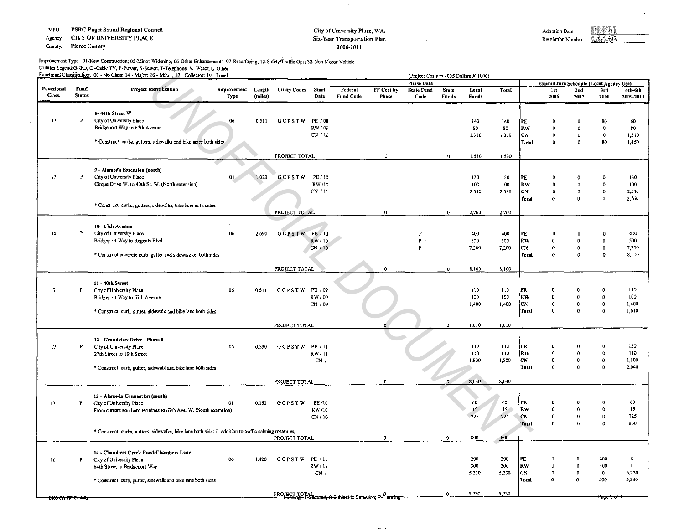Agency: CITY OF UNIVERSITY PLACE

County: Pierce County

 $\sim$ 

 $\sim$ 

#### City 0£ University Place, WA. Six-Year Transportation Plan 2006-2011

 $\sim$ 

usan kecaria Adoption Date: Resolution Number: 

 $\sim$ 

## Improvement Type: 01-New Construction; 05-Minor Widening; 06-Other Enhancements; 07-Resurfacing; 12-Safety/Traffic Ops; 32-Non Motor Vehicle Utilities Legend:G-Gas, C -Cable TV, P-Power, S-Sewer, T-Telephone, W-Water, O-Other<br>Functional Classification: 00 - No Class; 14 - Major, 16 - Minor, 17 - Collector, 19 - Local

|                       |               | Functional Classification: 00 - No Class; 14 - Major, 16 - Minor, 17 - Collector; 19 - Local         |                     |                   |                                                                         |                  |                             |                     |                           |                       | (Project Costs in 2005 Dollars X 1000) |              |                         |                                         |                              |                   |                        |
|-----------------------|---------------|------------------------------------------------------------------------------------------------------|---------------------|-------------------|-------------------------------------------------------------------------|------------------|-----------------------------|---------------------|---------------------------|-----------------------|----------------------------------------|--------------|-------------------------|-----------------------------------------|------------------------------|-------------------|------------------------|
| Functional            | Fund          |                                                                                                      |                     |                   |                                                                         |                  |                             |                     | <b>Phase Data</b>         |                       |                                        |              |                         | Expenditure Schedule (Local Agency Use) |                              |                   |                        |
| Class.                | <b>Status</b> | <b>Project Identification</b>                                                                        | Improvement<br>Type | Length<br>(miles) | <b>Utility Codes</b>                                                    | Start<br>Date    | Federal<br><b>Fund Code</b> | FF Cost by<br>Phase | <b>State Fund</b><br>Code | <b>State</b><br>Funds | Local<br>Funds                         | Total        |                         | 1st<br>2006                             | 2nd<br>2007                  | 3rd<br>2008       | $4th-6th$<br>2009-2011 |
|                       |               | 8-44th Street W                                                                                      |                     |                   |                                                                         |                  |                             |                     |                           |                       |                                        |              |                         |                                         |                              |                   |                        |
| 17                    | P             | City of University Place                                                                             | 06                  | 0.511             | <b>GCPSTW</b>                                                           | PE / 08          |                             |                     |                           |                       | 140                                    | 140          | PE                      | n                                       | $\bf{0}$                     | 80                | 60                     |
|                       |               | Bridgeport Way to 67th Avenue                                                                        |                     |                   |                                                                         | RW/09            |                             |                     |                           |                       | 80                                     | 80           | RW                      | O                                       | $\Omega$                     | 0                 | 80                     |
|                       |               |                                                                                                      |                     |                   |                                                                         | CN / 10          |                             |                     |                           |                       | 1,310                                  | 1,310        | CN                      |                                         | 0                            | $\bf{0}$          | 1,310                  |
|                       |               | * Construct curbs, gutters, sidewalks and bike lanes both sides                                      |                     |                   |                                                                         |                  |                             |                     |                           |                       |                                        |              | Total                   | $\Omega$                                | $^{\circ}$                   | 80                | 1,450                  |
|                       |               |                                                                                                      |                     |                   | PROJECT TOTAL                                                           |                  |                             | $\mathbf{o}$        |                           | $\mathbf 0$           | 1.530                                  | 1,530        |                         |                                         |                              |                   |                        |
|                       |               | 9 - Alameda Extension (north)                                                                        |                     |                   |                                                                         |                  |                             |                     |                           |                       |                                        |              |                         |                                         |                              |                   |                        |
| $\sqrt{7}$            | P             | City of University Place                                                                             | 01                  | 1.023             | GCPSTW                                                                  | PE / 10          |                             |                     |                           |                       | 130                                    | 130          | PE                      |                                         | o                            | 0                 | 130                    |
|                       |               | Cirque Drive W. to 40th St. W. (North extension)                                                     |                     |                   |                                                                         | RW /10           |                             |                     |                           |                       | 100                                    | 100          | RW                      |                                         | $\Omega$                     | 0                 | 100                    |
|                       |               |                                                                                                      |                     |                   |                                                                         | CN/11            |                             |                     |                           |                       | 2,530                                  | 2,530        | CN                      |                                         | $\theta$                     | $\Omega$          | 2,530                  |
|                       |               | * Construct curbs, gutters, sidewalks, bike lane both sides.                                         |                     |                   |                                                                         |                  |                             |                     |                           |                       |                                        |              | Total                   | 0                                       | $\mathbf{0}$                 | O.                | 2,760                  |
|                       |               |                                                                                                      |                     |                   | PROJECT TOTAL                                                           |                  |                             | $\alpha$            |                           | $\circ$               | 2,760                                  | 2,760        |                         |                                         |                              |                   |                        |
|                       |               | 10 - 67th Avenue                                                                                     |                     |                   |                                                                         |                  |                             |                     |                           |                       |                                        |              |                         |                                         |                              |                   |                        |
| 16                    | P             | City of University Place                                                                             | 06                  | 2.690             | GCPSTW PE/10                                                            |                  |                             |                     | P                         |                       | 400                                    | 400          | PE                      |                                         | n                            |                   | 400                    |
|                       |               | Bridgeport Way to Regents Blvd.                                                                      |                     |                   |                                                                         | RW/10            |                             |                     | P                         |                       | 500                                    | 500          | RW                      |                                         | 0                            | 0                 | 500                    |
|                       |               |                                                                                                      |                     |                   |                                                                         | CN / 10          |                             |                     | Þ                         |                       | 7,200                                  | 7,200        | CN                      | $\boldsymbol{\theta}$                   | $\mathbf 0$                  | $\bf{0}$          | 7.200                  |
|                       |               | * Construct concrete curb, gutter and sidewalk on both sides.                                        |                     |                   |                                                                         |                  |                             |                     |                           |                       |                                        |              | Total                   | $^{\circ}$                              | $\Omega$                     | $\Omega$          | 8,100                  |
|                       |               |                                                                                                      |                     |                   | PROJECT TOTAL                                                           |                  |                             | $\Omega$            |                           | $\mathbf{o}$          | 8,100                                  | 8,100        |                         |                                         |                              |                   |                        |
|                       |               |                                                                                                      |                     |                   |                                                                         |                  |                             |                     |                           |                       |                                        |              |                         |                                         |                              |                   |                        |
|                       |               | 11 - 40th Street                                                                                     |                     |                   |                                                                         |                  |                             |                     |                           |                       |                                        |              |                         |                                         |                              |                   |                        |
| 17                    | P             | City of University Place                                                                             | 06                  | 0.511             | GCPSTW                                                                  | PE / 09          |                             |                     |                           |                       | 110                                    | 110          | PE                      | $\Omega$<br>$\Omega$                    | n<br>$\boldsymbol{0}$        |                   | 110                    |
|                       |               | Bridgeport Way to 67th Avenue                                                                        |                     |                   |                                                                         | RW/09<br>CN / 09 |                             |                     |                           |                       | 100<br>1,400                           | 100<br>1,400 | RW<br>CN                | $^{\circ}$                              | $\circ$                      | 0                 | 100<br>1,400           |
|                       |               | * Construct curb, gutter, sidewalk and bike lane both sides                                          |                     |                   |                                                                         |                  |                             |                     |                           |                       |                                        |              | Total                   | n                                       | $\Omega$                     | $\Omega$          | 1,610                  |
|                       |               |                                                                                                      |                     |                   |                                                                         |                  |                             |                     |                           |                       |                                        |              |                         |                                         |                              |                   |                        |
|                       |               |                                                                                                      |                     |                   | PROJECT TOTAL                                                           |                  |                             |                     |                           | $\mathbf{0}$          | 1,610                                  | 1,610        |                         |                                         |                              |                   |                        |
|                       |               | 12 - Grandview Drive - Phase 5                                                                       |                     |                   |                                                                         |                  |                             |                     |                           |                       |                                        |              |                         |                                         |                              |                   |                        |
| 17                    | P             | City of University Place                                                                             | 06                  | 0.530             | GCPSTW                                                                  | PE / 11          |                             |                     |                           |                       | 130                                    | 130          | PF                      |                                         | $\Omega$                     |                   | 130                    |
|                       |               | 27th Street to 19th Street                                                                           |                     |                   |                                                                         | RW/11            |                             |                     |                           |                       | 110                                    | 110          | <b>RW</b>               |                                         | $\Omega$                     | $\Omega$          | 110                    |
|                       |               | * Construct curb, gutter, sidewalk and bike lane both sides                                          |                     |                   |                                                                         | CN/              |                             |                     |                           |                       | 1,800                                  | 1,800        | C <sub>N</sub><br>Total | $\Omega$<br>Ω                           | $\mathbf{0}$<br>$\mathbf{0}$ | $\Omega$<br>n     | 1,800<br>2,040         |
|                       |               |                                                                                                      |                     |                   |                                                                         |                  |                             |                     |                           |                       |                                        |              |                         |                                         |                              |                   |                        |
|                       |               |                                                                                                      |                     |                   | PROJECT TOTAL                                                           |                  |                             | $\mathbf{r}$        |                           | $\Omega$              | 2,040                                  | 2,040        |                         |                                         |                              |                   |                        |
|                       |               | 13 - Alameda Connection (south)                                                                      |                     |                   |                                                                         |                  |                             |                     |                           |                       |                                        |              |                         |                                         |                              |                   |                        |
| 17                    | P             | City of University Place                                                                             | 01                  | 0.152             | GCPSTW                                                                  | PE/10            |                             |                     |                           |                       | 60                                     | 60           | PF                      |                                         | n                            |                   | 60                     |
|                       |               | From current southern terminus to 67th Ave. W. (South extension)                                     |                     |                   |                                                                         | RW/10            |                             |                     |                           |                       | 15                                     | 15           | Rw                      |                                         | $\Omega$                     |                   | 15                     |
|                       |               |                                                                                                      |                     |                   |                                                                         | CN/10            |                             |                     |                           |                       | 725                                    | 725          | <b>CN</b>               | -0<br>$\alpha$                          | $\boldsymbol{0}$<br>$\Omega$ | 0<br>$\sim$       | 725<br>800             |
|                       |               | * Construct curbs, gutters, sidewalks, bike lane both sides in addition to traffic calming measures, |                     |                   |                                                                         |                  |                             |                     |                           |                       |                                        |              | Total                   |                                         |                              |                   |                        |
|                       |               |                                                                                                      |                     |                   | PROJECT TOTAL                                                           |                  |                             | $\mathbf{0}$        |                           | $\mathbf{0}$          | 800                                    | 800          |                         |                                         |                              |                   |                        |
|                       |               | 14 - Chambers Creek Road/Chambers Lane                                                               |                     |                   |                                                                         |                  |                             |                     |                           |                       |                                        |              |                         |                                         |                              |                   |                        |
| 16                    | P             | City of University Place                                                                             | 06                  | 1.420             | GCPSTW PE/11                                                            |                  |                             |                     |                           |                       | 200                                    | 200          | PE                      |                                         | 0                            | 200               | $\mathbf 0$            |
|                       |               | 64th Street to Bridgeport Way                                                                        |                     |                   |                                                                         | RW/11            |                             |                     |                           |                       | 300                                    | 300          | RW                      |                                         | $\pmb{0}$                    | 300               | 0                      |
|                       |               |                                                                                                      |                     |                   |                                                                         | CN/              |                             |                     |                           |                       | 5.230                                  | 5.230        | CN.                     | $\Omega$                                | $\mathbf 0$                  | $\mathbf 0$       | 5.230                  |
|                       |               | * Construct curb, gutter, sidewalk and bike lane both sides                                          |                     |                   |                                                                         |                  |                             |                     |                           |                       |                                        |              | <b>Total</b>            | $\mathbf{0}$                            | $\mathbf{0}$                 | 500               | 5.230                  |
|                       |               |                                                                                                      |                     |                   | PROJECT TOTAL<br>Funding: T-Secured, S-Subject to Selection; P-Planning |                  |                             |                     |                           | $\mathbf{0}$          | 5,730                                  | 5,730        |                         |                                         |                              |                   |                        |
| 2000 0Yr TIP Exhibits |               |                                                                                                      |                     |                   |                                                                         |                  |                             |                     |                           |                       |                                        |              |                         |                                         |                              | <del>700001</del> |                        |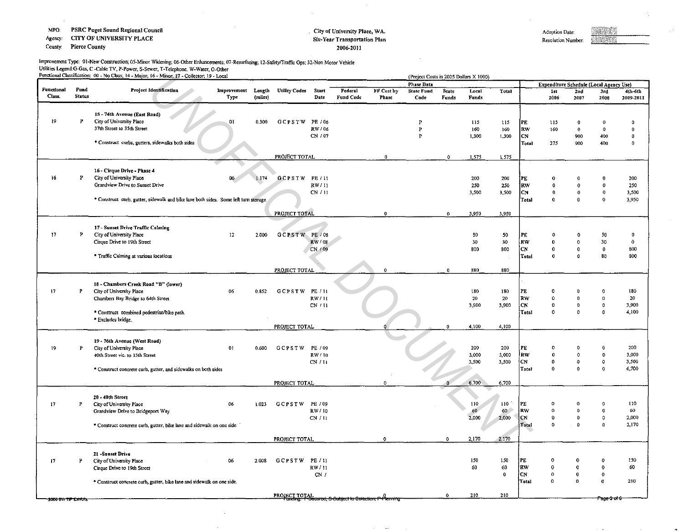Agency: CITY OF UNIVERSITY PLACE

County. Pierce County

#### City of University Place, WA. Six-Year Transportation Plan 2006-2011

 $\sim$ 

 $\sim$ 

| Adoption Date:     | <b>SHORE 25</b> |
|--------------------|-----------------|
| Resolution Number: | <b>ALLEND</b>   |

а¢,

 $\mathcal{L}^{(1)}$ 

# Improvement Type: 01-New Construction; 05-Minor Widening; 06-Other Enhancements; 07-Resurfacing; 12-Safety/Traffic Ops; 32-Non Motor Vehicle Utilities Legend:G-Gas, C -Cable TV, P-Power, S-Sewer, T-Telephone, W-Water, O-Other<br>Functional Classification: 00 - No Class, 14 - Major, 16 - Minor, 17 - Collector, 19 - Local

 $\cdot$ 

|                       |               | Functional Classification: 00 - No Class; 14 - Major; 16 - Minor; 17 - Collector; 19 - Local |                     |                   |                      |                  |                                                                         |                     |                           |                | (Project Costs in 2005 Dollars X 1000) |                   |                        |                                         |                  |                              |                      |
|-----------------------|---------------|----------------------------------------------------------------------------------------------|---------------------|-------------------|----------------------|------------------|-------------------------------------------------------------------------|---------------------|---------------------------|----------------|----------------------------------------|-------------------|------------------------|-----------------------------------------|------------------|------------------------------|----------------------|
| <b>Functional</b>     | Fund          |                                                                                              |                     |                   |                      |                  |                                                                         |                     | <b>Phase Data</b>         |                |                                        |                   |                        | Expenditure Schedule (Local Agency Use) |                  |                              |                      |
| Class.                | <b>Status</b> | <b>Project Identification</b>                                                                | Improvement<br>Type | Length<br>(miles) | <b>Utility Codes</b> | Start<br>Date    | Federal<br>Fund Code                                                    | FF Cost by<br>Phase | <b>State Fund</b><br>Code | State<br>Funds | Local<br>Funds                         | Total             |                        | ist<br>2006                             | 2nd<br>2007      | 3rd<br>2008                  | 4th-6th<br>2009-2011 |
|                       |               | 15 - 74th Avenue (East Road)                                                                 |                     |                   |                      |                  |                                                                         |                     |                           |                |                                        |                   |                        |                                         |                  |                              |                      |
| 19 <sup>°</sup>       | P             | City of University Place                                                                     | 01                  | 0.300             | GCPSTW               | PE / 06          |                                                                         |                     | P                         |                | 115                                    | 115               | PE                     | 115                                     | 0                | $\Omega$                     | $\bf{0}$             |
|                       |               | 37th Street to 35th Street                                                                   |                     |                   |                      | RW/06            |                                                                         |                     | P                         |                | 160                                    | 160               | <b>RW</b>              | 160                                     | $\pmb{0}$        | $\Omega$                     | $\Omega$             |
|                       |               |                                                                                              |                     |                   |                      | CN / 07          |                                                                         |                     | P                         |                | 1,300                                  | 1,300             | <b>CN</b>              |                                         | 900              | 400                          | 0                    |
|                       |               | * Construct curbs, gutters, sidewalks both sides                                             |                     |                   |                      |                  |                                                                         |                     |                           |                |                                        |                   | Total                  | 275                                     | 900              | 400                          | 0                    |
|                       |               |                                                                                              |                     |                   | PROJECT TOTAL        |                  |                                                                         | $\Omega$            |                           | $\bullet$      | 1.575                                  | 1.575             |                        |                                         |                  |                              |                      |
|                       |               | 16 - Cirque Drive - Phase 4                                                                  |                     |                   |                      |                  |                                                                         |                     |                           |                |                                        |                   |                        |                                         |                  |                              |                      |
| 16                    | P             | City of University Place                                                                     | 06                  | 1.174             | GCPSTW PE/11         |                  |                                                                         |                     |                           |                | 200                                    | 200               | PE                     | $\Omega$                                | $\Omega$         | n                            | 200                  |
|                       |               | Grandview Drive to Sunset Drive                                                              |                     |                   |                      | RW/11            |                                                                         |                     |                           |                | 250                                    | 250               | <b>RW</b>              | $\Omega$                                | $\Omega$         | $^{\circ}$                   | 250                  |
|                       |               |                                                                                              |                     |                   |                      | CN/11            |                                                                         |                     |                           |                | 3,500                                  | 3,500             | CN                     | $\Omega$                                | $\Omega$         | $\Omega$                     | 3,500                |
|                       |               | * Construct curb, gutter, sidewalk and bike lane both sides. Some left turn storage.         |                     |                   |                      |                  |                                                                         |                     |                           |                |                                        |                   | <b>Total</b>           | $\theta$                                | $\mathbf{0}$     | $\Omega$                     | 3,950                |
|                       |               |                                                                                              |                     |                   | PROJECT TOTAL        |                  |                                                                         | $\mathbf 0$         |                           | $\mathbf{0}$   | 3.950                                  | 3,950             |                        |                                         |                  |                              |                      |
|                       |               | 17 - Sunset Drive Traffic Calming                                                            |                     |                   |                      |                  |                                                                         |                     |                           |                |                                        |                   |                        |                                         |                  |                              |                      |
| 17                    | P             | City of University Place                                                                     | 12                  | 2.000             | GCPSTW PE / 08       |                  |                                                                         |                     |                           |                | 50                                     | 50                | PF.                    |                                         | 0                | 50                           | $\bf 0$              |
|                       |               | Cirque Drive to 19th Street                                                                  |                     |                   |                      | RW / 08          |                                                                         |                     |                           |                | 30                                     | 30                | RW                     |                                         | $\theta$         | 30                           | $\bf{0}$             |
|                       |               |                                                                                              |                     |                   |                      | CN / 09          |                                                                         |                     |                           |                | 800                                    | 800               | CN.                    | $^{\circ}$                              | $\mathbf 0$      | $\mathbf 0$                  | 800                  |
|                       |               | * Traffic Calming at various locations                                                       |                     |                   |                      |                  |                                                                         |                     |                           |                |                                        |                   | Total                  | $\mathbf{0}$                            | $\mathbf{0}$     | 80                           | 800                  |
|                       |               |                                                                                              |                     |                   | PROJECT TOTAL        |                  |                                                                         | $\bullet$           |                           | $\mathbf 0$    | 880                                    |                   |                        |                                         |                  |                              |                      |
|                       |               |                                                                                              |                     |                   |                      |                  |                                                                         |                     |                           |                |                                        | 880               |                        |                                         |                  |                              |                      |
|                       |               | 18 - Chambers Creek Road "B" (lower)                                                         |                     |                   |                      |                  |                                                                         |                     |                           |                |                                        |                   |                        |                                         |                  |                              |                      |
| 17                    | P             | City of University Place                                                                     | 06                  | 0.852             | GCPSTW               | PE / 11          |                                                                         |                     |                           |                | 180                                    | 180               | $\mathbf{P}\mathbf{E}$ |                                         | $\Omega$         |                              | 180                  |
|                       |               | Chambers Bay Bridge to 64th Street                                                           |                     |                   |                      | RW/11            |                                                                         |                     |                           |                | 20                                     | 20                | RW                     | $\Omega$                                | $\mathbf{0}$     | $\Omega$                     | 20                   |
|                       |               |                                                                                              |                     |                   |                      | CN/11            |                                                                         |                     |                           |                | 3,900                                  | 3.900             | C <sub>N</sub>         | $\Omega$                                | $\bf{0}$         | $\Omega$                     | 3,900                |
|                       |               | * Construct combined pedestrian/bike path.<br>* Excludes bridge.                             |                     |                   |                      |                  |                                                                         |                     |                           |                |                                        |                   | Total                  | $^{\circ}$                              | 0                | $\Omega$                     | 4,100                |
|                       |               |                                                                                              |                     |                   | PROJECT TOTAL        |                  |                                                                         |                     |                           | $\mathbf 0$    | 4,100                                  | 4,100             |                        |                                         |                  |                              |                      |
|                       |               |                                                                                              |                     |                   |                      |                  |                                                                         |                     |                           |                |                                        |                   |                        |                                         |                  |                              |                      |
| 19                    | P             | 19 - 76th Avenue (West Road)<br>City of University Place                                     | 01                  | 0.600             | GCPSTW               | PE / 09          |                                                                         |                     |                           |                | 200                                    | 200               | PL                     | $\Omega$                                | $\Omega$         | 0                            | 200                  |
|                       |               | 40th Street vic. to 35th Street                                                              |                     |                   |                      | RW/10            |                                                                         |                     |                           |                | 3,000                                  | 3,000             | RW                     | $\Omega$                                | $\mathfrak o$    | $\Omega$                     | 3.000                |
|                       |               |                                                                                              |                     |                   |                      | CN/11            |                                                                         |                     |                           |                | 3.500                                  | 3,500             | C <sub>N</sub>         | 0                                       | $\mathbf 0$      | $\circ$                      | 3,500                |
|                       |               | * Construct concrete curb, gutter, and sidewalks on both sides                               |                     |                   |                      |                  |                                                                         |                     |                           |                |                                        |                   | Total                  | $\theta$                                | $\mathbf 0$      | $^{\circ}$                   | 6,700                |
|                       |               |                                                                                              |                     |                   | PROJECT TOTAL        |                  |                                                                         | $\circ$             |                           | $\bullet$      | 6,700                                  | 6,700             |                        |                                         |                  |                              |                      |
|                       |               |                                                                                              |                     |                   |                      |                  |                                                                         |                     |                           |                |                                        |                   |                        |                                         |                  |                              |                      |
|                       |               | 20 - 40th Street                                                                             |                     |                   |                      |                  |                                                                         |                     |                           |                | 110                                    | 110               | PE                     | $\Omega$                                | $\Omega$         | $\mathbf{o}$                 | 110                  |
| 17                    | P             | City of University Place<br>Grandview Drive to Bridgeport Way                                | 06                  | 1.023             | <b>GCPSTW</b>        | PE / 09<br>RW/10 |                                                                         |                     |                           |                | 60                                     | 60                | RW                     | $\Omega$                                | $\mathbf 0$      | $\Omega$                     | 60                   |
|                       |               |                                                                                              |                     |                   |                      | CN / 11          |                                                                         |                     |                           |                | 2,000                                  | 2,000             | CN                     | $\Omega$                                | $\bf{0}$         | $\Omega$                     | 2,000                |
|                       |               | * Construct concrete curb, gutter, bike lane and sidewalk on one side.                       |                     |                   |                      |                  |                                                                         |                     |                           |                |                                        |                   | <b>Total</b>           | $\Omega$                                | $\mathbf{0}$     | n                            | 2,170                |
|                       |               |                                                                                              |                     |                   | PROJECT TOTAL        |                  |                                                                         | $\mathbf 0$         |                           | 0              | 2,170                                  | 2,170             |                        |                                         |                  |                              |                      |
|                       |               |                                                                                              |                     |                   |                      |                  |                                                                         |                     |                           |                |                                        |                   |                        |                                         |                  |                              |                      |
|                       |               | 21 -Sunset Drive                                                                             |                     |                   |                      |                  |                                                                         |                     |                           |                |                                        |                   |                        |                                         |                  |                              |                      |
| 17                    | P             | City of University Place                                                                     | 06                  | 2.008             | <b>GCPSTW</b>        | PE / 11          |                                                                         |                     |                           |                | 150                                    | 150               | IPE                    | 0                                       | 0                |                              | 150                  |
|                       |               | Cirque Drive to 19th Street                                                                  |                     |                   |                      | RW/11            |                                                                         |                     |                           |                | 60                                     | 60<br>$\mathbf 0$ | 'RW                    | 0<br>$\mathbf 0$                        | $\bf{0}$         | $\Omega$                     | 60                   |
|                       |               | * Construct concrete curb, gutter, bike lane and sidewalk on one side.                       |                     |                   |                      | CN /             |                                                                         |                     |                           |                |                                        |                   | CМ<br>Total            | $\Omega$                                | $\mathbf 0$<br>0 | $\mathbf{0}$<br>$\mathbf{a}$ | 210                  |
|                       |               |                                                                                              |                     |                   |                      |                  |                                                                         |                     |                           |                |                                        |                   |                        |                                         |                  |                              |                      |
| 2009 6Yr TIP Exhibits |               |                                                                                              |                     |                   |                      |                  | PROJECT TOTAL<br>Funding: F-Secured; 9-Subject to Selection; P-Planning |                     |                           | $\Omega$       | 210                                    | 210               |                        |                                         |                  | <del>Page 3 of 6</del>       |                      |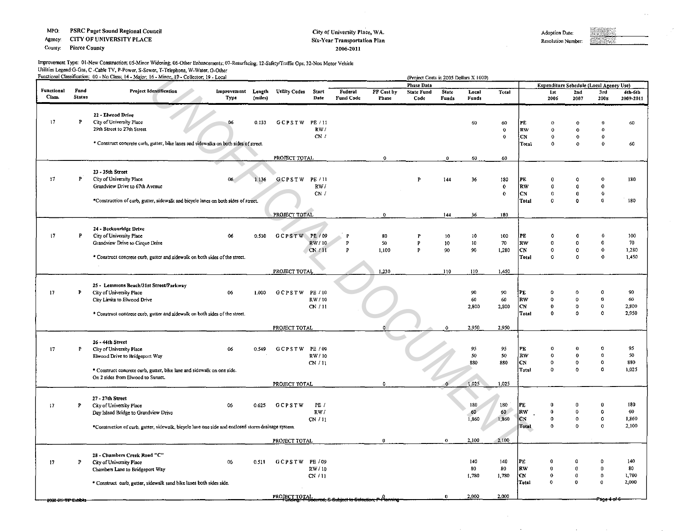Agency: CITY OF UNIVERSITY PLACE

County: Pierce County

#### City of University Place, WA. Six-Year Transportation Plan 2006-2011

| Adoption Date:     |  |
|--------------------|--|
| Resolution Number: |  |

 $\langle \hat{q} \rangle_{\rm eff}$ 

Improvement Type: 01-New Construction; OS·Minor Widening; 06·0ther Enhancements; 07-Resurfacing; 12.Safctyffraffic Ops; 32-Non Motor Vehicle Utilities Legend: G-Gas, C -Cable TV, P-Power, S-Sewer, T-Telephone, W-Water, O-Other<br>Functional Classification: 00 - No Class; 14 - Major; 16 - Minor; 17 - Collector, 19 - Local

|                      |               | Functional Classification: 00 - No Class; 14 - Major; 16 - Minor; 17 - Collector, 19 - Local       |                     |                   |                      |               |                                                                        |                     | (Project Costs in 2005 Dollars X 1000) |                 |                |             |                |                                         |                  |              |                      |
|----------------------|---------------|----------------------------------------------------------------------------------------------------|---------------------|-------------------|----------------------|---------------|------------------------------------------------------------------------|---------------------|----------------------------------------|-----------------|----------------|-------------|----------------|-----------------------------------------|------------------|--------------|----------------------|
| <b>Functional</b>    | Fund          | <b>Project Identification</b>                                                                      |                     |                   |                      |               |                                                                        |                     | <b>Phase Data</b>                      |                 |                |             |                | Expenditure Schedule (Local Agency Use) |                  |              |                      |
| Class.               | <b>Status</b> |                                                                                                    | Improvement<br>Type | Length<br>(miles) | <b>Utility Codes</b> | Start<br>Date | Federal<br><b>Fund Code</b>                                            | FF Cost by<br>Phase | <b>State Fund</b><br>Code              | State<br>Funds  | Local<br>Funds | Total       |                | 1st<br>2006                             | 2nd<br>2007      | 3rd<br>2008  | 4th-6th<br>2009-2011 |
|                      |               | 22 - Elwood Drive                                                                                  |                     |                   |                      |               |                                                                        |                     |                                        |                 |                |             |                |                                         |                  |              |                      |
| 17                   | P             | City of University Place                                                                           | 06                  | 0.133             | <b>GCPSTW</b>        | PE / 11       |                                                                        |                     |                                        |                 | 60             | 60          | PE             | $\Omega$                                | $\Omega$         | n            | 60                   |
|                      |               | 29th Street to 27th Street                                                                         |                     |                   |                      | RW/           |                                                                        |                     |                                        |                 |                | $\mathbf 0$ | RW             | $\Omega$                                | $\Omega$         | $\Omega$     |                      |
|                      |               |                                                                                                    |                     |                   |                      | CN/           |                                                                        |                     |                                        |                 |                | $\Omega$    | CN             | $\Omega$                                | 0                | 0            |                      |
|                      |               | * Construct concrete curb, gutter, bike lanes and sidewalks on both sides of street.               |                     |                   |                      |               |                                                                        |                     |                                        |                 |                |             | Total          | $\Omega$                                | $\Omega$         | $\Omega$     | 60                   |
|                      |               |                                                                                                    |                     |                   | PROJECT TOTAL        |               |                                                                        | $\Omega$            |                                        | $\mathbf{0}$    | 60             | 60          |                |                                         |                  |              |                      |
|                      |               | 23 - 35th Street                                                                                   |                     |                   |                      |               |                                                                        |                     |                                        |                 |                |             |                |                                         |                  |              |                      |
| 17                   | P             | City of University Place                                                                           | 06                  | 1.136             | <b>GCPSTW</b>        | PE / 11       |                                                                        |                     | P                                      | 144             | 36             | 180         | PE             |                                         | $\mathbf{o}$     | $\Omega$     | 180                  |
|                      |               | Grandview Drive to 67th Avenue                                                                     |                     |                   |                      | RW/           |                                                                        |                     |                                        |                 |                | $\bullet$   | RW             |                                         | $\boldsymbol{0}$ | $\Omega$     |                      |
|                      |               |                                                                                                    |                     |                   |                      | CN/           |                                                                        |                     |                                        |                 |                | $\circ$     | C <sub>N</sub> | $\Omega$                                | $\mathbf 0$      | $\Omega$     |                      |
|                      |               | *Construction of curb, gutter, sidewalk and bicycle lanes on both sides of street.                 |                     |                   |                      |               |                                                                        |                     |                                        |                 |                |             | Total          | $\Omega$                                | $\bf{0}$         | $\Omega$     | 180                  |
|                      |               |                                                                                                    |                     |                   | PROJECT TOTAL        |               |                                                                        | $\ddot{\mathbf{0}}$ |                                        | 144             | 36             | 180         |                |                                         |                  |              |                      |
|                      |               | 24 - Beckonridge Drive                                                                             |                     |                   |                      |               |                                                                        |                     |                                        |                 |                |             |                |                                         |                  |              |                      |
| 17                   | P             | City of University Place                                                                           | 06                  | 0.530             | GCPSTW PE / 09       |               | P                                                                      | 80                  |                                        | 10 <sup>°</sup> | 10             | 100         | PE             |                                         | n                |              | 100                  |
|                      |               | Grandview Drive to Cirque Drive                                                                    |                     |                   |                      | RW/10         | $\boldsymbol{\mathrm{P}}$                                              | 50                  | P                                      | 10              | 10             | 70          | Rw             | $\Omega$                                | $\Omega$         | $\Omega$     | 70                   |
|                      |               |                                                                                                    |                     |                   |                      | CN/11         | $\mathbf P$                                                            | 1,100               | P                                      | 90              | 90             | 1,280       | СN             | $\mathbf 0$                             | 0                | $\mathbf 0$  | 1,280                |
|                      |               | * Construct concrete curb, gutter and sidewalk on both sides of the street.                        |                     |                   |                      |               |                                                                        |                     |                                        |                 |                |             | <b>Total</b>   | $\Omega$                                | $\Omega$         | $\Omega$     | 1,450                |
|                      |               |                                                                                                    |                     |                   |                      |               |                                                                        |                     |                                        |                 |                |             |                |                                         |                  |              |                      |
|                      |               |                                                                                                    |                     |                   | PROJECT TOTAL        |               |                                                                        | 1,230               |                                        | 110             | 110            | 1,450       |                |                                         |                  |              |                      |
|                      |               | 25 - Lemmons Beach/31st Street/Parkway                                                             |                     |                   |                      |               |                                                                        |                     |                                        |                 |                |             |                |                                         |                  |              |                      |
| 17                   | P             | City of University Place                                                                           | 06                  | 1.000             | GCPSTW PE/10         |               |                                                                        |                     |                                        |                 | 90             | 90          | ]PF            | $\Omega$                                |                  |              | 90                   |
|                      |               | City Limits to Elwood Drive                                                                        |                     |                   |                      | RW/10         |                                                                        |                     |                                        |                 | 60             | 60          | RW             | $\mathbf{o}$                            | $^{\circ}$       | 0            | 60                   |
|                      |               |                                                                                                    |                     |                   |                      | CN / 11       |                                                                        |                     |                                        |                 | 2,800          | 2,800       | lсn            | $\Omega$                                | $\Omega$         | $\mathbf 0$  | 2.800                |
|                      |               | * Construct concrete curb, gutter and sidewalk on both sides of the street.                        |                     |                   |                      |               |                                                                        |                     |                                        |                 |                |             | Total          | $\Omega$                                | $\Omega$         | $\Omega$     | 2,950                |
|                      |               |                                                                                                    |                     |                   | PROJECT TOTAL        |               |                                                                        |                     |                                        | $\mathbf 0$     | 2,950          | 2,950       |                |                                         |                  |              |                      |
|                      |               |                                                                                                    |                     |                   |                      |               |                                                                        |                     |                                        |                 |                |             |                |                                         |                  |              |                      |
| 17                   | P             | 26 - 44th Street<br>City of University Place                                                       | 06                  | 0.549             | GCPSTW PE/09         |               |                                                                        |                     |                                        |                 | 95             | 95          | PE             |                                         |                  |              | 95                   |
|                      |               | Elwood Drive to Bridgeport Way                                                                     |                     |                   |                      | RW/10         |                                                                        |                     |                                        |                 | 50             | 50          | <b>RW</b>      | 0                                       | $^{\circ}$       | 0            | 50                   |
|                      |               |                                                                                                    |                     |                   |                      | CN/11         |                                                                        |                     |                                        |                 | 880            | 880         | lсn            | $\mathbf 0$                             | $^{\circ}$       | $\circ$      | 880                  |
|                      |               | * Construct concrete curb, gutter, bike lane and sidewalk on one side.                             |                     |                   |                      |               |                                                                        |                     |                                        |                 |                |             | Total          | $\Omega$                                | $\Omega$         | $\Omega$     | 1.025                |
|                      |               | On 2 sides from Elwood to Sunset.                                                                  |                     |                   |                      |               |                                                                        | $\mathbf 0$         |                                        | $\Omega$        | 1.025          | 1,025       |                |                                         |                  |              |                      |
|                      |               |                                                                                                    |                     |                   | PROJECT TOTAL        |               |                                                                        |                     |                                        |                 |                |             |                |                                         |                  |              |                      |
|                      |               | 27 - 27th Street                                                                                   |                     |                   |                      |               |                                                                        |                     |                                        |                 |                |             |                |                                         |                  |              |                      |
| 17                   | P             | City of University Place                                                                           | 06                  | 0.625             | GCPSTW               | PE/           |                                                                        |                     |                                        |                 | 180            | 180         | PЕ             | 0                                       |                  |              | 180                  |
|                      |               | Day Island Bridge to Grandview Drive                                                               |                     |                   |                      | RW/           |                                                                        |                     |                                        |                 | 60             | 60          | RW             | 0                                       | $\Omega$         | $^{\circ}$   | 60                   |
|                      |               |                                                                                                    |                     |                   |                      | CN/11         |                                                                        |                     |                                        |                 | 1,860          | 1,860       | <b>CN</b>      | Ω<br>O.                                 | $^{\circ}$       | $\circ$      | 1,860                |
|                      |               | *Construction of curb, gutter, sidewalk, bicycle lane one side and enclosed storm drainage system. |                     |                   |                      |               |                                                                        |                     |                                        |                 |                |             | Total          |                                         | $\mathbf 0$      | $\circ$      | 2,100                |
|                      |               |                                                                                                    |                     |                   | PROJECT TOTAL        |               |                                                                        | $\bf{0}$            |                                        | $\mathbf 0$     | 2,100          | 2,100       |                |                                         |                  |              |                      |
|                      |               | 28 - Chambers Creek Road "C"                                                                       |                     |                   |                      |               |                                                                        |                     |                                        |                 |                |             |                |                                         |                  |              |                      |
| 17                   | P             | City of University Place                                                                           | 06                  | 0.511             | GCPSTW PE/09         |               |                                                                        |                     |                                        |                 | 140            | 140         | PE             | 0                                       |                  | $\Omega$     | 140                  |
|                      |               | Chambers Lane to Bridgeport Way                                                                    |                     |                   |                      | RW/10         |                                                                        |                     |                                        |                 | 80             | 80          | RW             | $\Omega$                                | 0                | $\mathbf{0}$ | 80                   |
|                      |               |                                                                                                    |                     |                   |                      | CN/11         |                                                                        |                     |                                        |                 | 1.780          | 1,780       | ¦CN            | $\mathbf 0$                             | 0                | $\mathbf{0}$ | 1,780                |
|                      |               | * Construct curb, gutter, sidewalk sand bike lanes both sides side.                                |                     |                   |                      |               |                                                                        |                     |                                        |                 |                |             | Total          | Ω                                       | 0                | $\Omega$     | 2,000                |
|                      |               |                                                                                                    |                     |                   |                      |               |                                                                        |                     |                                        | $\bf{0}$        | 2,000          | 2,000       |                |                                         |                  |              |                      |
| 2000 OY TIP Exhibits |               |                                                                                                    |                     |                   |                      |               | PROJECT TOTAL<br>Indiana: + Gecured, S-Subject to Selection, P-Plannin |                     |                                        |                 |                |             |                |                                         |                  | -ace-        |                      |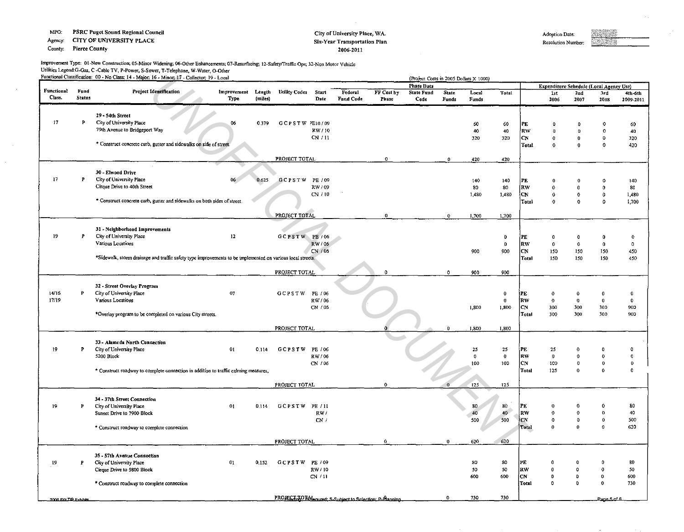Agency: CITY OF UNIVERSITY PLACE

County: Pierce County

 $\sim$ 

 $\ddot{\phantom{a}}$ 

#### City or University Place, WA. Six-Year Transportation Plan 2006-2011

Adoption Date: Resolution Number:

Improvement Type: 01-New Construction; 05-Minor Widening; 06-Other Enhancements; 07-Resurfacing; 12-Safety/Traffic Ops; 32-Non Motor Vehicle Utilities Legend:G-Gas, C -Cable TV, P-Power, S-Sewer, T-Telephone, W-Water, O-Other<br>Functional Classification: 00 - No Class; 14 - Major; 16 - Minor, 17 - Collector; 19 - Local

| Functional Classification: 00 - No Class; 14 - Major; 16 - Minor, 17 - Collector; 19 - Local<br>Functional<br>Fund<br><b>Project Identification</b><br>Improvement<br>Length<br><b>Utility Codes</b><br>Start<br>Class.<br><b>Status</b><br>Type<br>(miles)<br>Date<br>29 - 54th Street<br>17<br>P<br>City of University Place<br>06<br>0.379<br>GCPSTW PE10/09<br>79th Avenue to Bridgeport Way<br>* Construct concrete curb, gutter and sidewalks on side of street.<br>PROJECT TOTAL<br>30 - Elwood Drive<br>17<br>City of University Place<br>P<br>06<br>0.625<br>GCPSTW PE/09<br>Cirque Drive to 40th Street<br>* Construct concrete curb, gutter and sidewalks on both sides of street.<br>PROJECT TOTAL<br>31 Neighborhood Improvements<br>19<br>P<br>City of University Place<br>$12 \overline{ }$<br>GCPSTW PE/06<br>Various Locations<br>RW/06<br>CN / 06<br>*Sidewalk, storm drainage and traffic safety type improvements to be implemented on various local streets.<br>PROJECT TOTAL<br>32 - Street Overlay Program<br>14/16<br>City of University Place<br>07<br>p<br>GCPSTW<br>PE / 06<br>17/19<br>Various Locations<br>RW/06<br>CN / 06<br>*Overlay program to be completed on various City streets.<br>PROJECT TOTAL<br>33 - Alameda North Connection<br>City of University Place<br>01<br>19<br>P<br>0.114<br>GCPSTW<br>5200 Block<br>RW/06<br>CN / 06<br>* Construct roadway to complete connection in addition to traffic calming measures,<br>PROJECT TOTAL<br>34 - 37th Street Connection<br>19<br>01<br>GCPSTW PE/11<br>P<br>City of University Place<br>0.114<br>RW/<br>Sunset Drive to 7900 Block<br>CN/<br>* Construct roadway to complete connection<br>PROJECT TOTAL<br>35 - 57th Avenue Connection<br>01<br>GCPSTW PE / 09<br>19<br>City of University Place<br>0.152<br>₽<br>RW/10<br>Cirque Drive to 5800 Block |                                            |  | (Project Costs in 2005 Dollars X 1000) |                                                         |                     |                           |                |                |             |                        |                                         |                          |                   |                      |
|-------------------------------------------------------------------------------------------------------------------------------------------------------------------------------------------------------------------------------------------------------------------------------------------------------------------------------------------------------------------------------------------------------------------------------------------------------------------------------------------------------------------------------------------------------------------------------------------------------------------------------------------------------------------------------------------------------------------------------------------------------------------------------------------------------------------------------------------------------------------------------------------------------------------------------------------------------------------------------------------------------------------------------------------------------------------------------------------------------------------------------------------------------------------------------------------------------------------------------------------------------------------------------------------------------------------------------------------------------------------------------------------------------------------------------------------------------------------------------------------------------------------------------------------------------------------------------------------------------------------------------------------------------------------------------------------------------------------------------------------------------------------------------------------------------------------------------------------------|--------------------------------------------|--|----------------------------------------|---------------------------------------------------------|---------------------|---------------------------|----------------|----------------|-------------|------------------------|-----------------------------------------|--------------------------|-------------------|----------------------|
|                                                                                                                                                                                                                                                                                                                                                                                                                                                                                                                                                                                                                                                                                                                                                                                                                                                                                                                                                                                                                                                                                                                                                                                                                                                                                                                                                                                                                                                                                                                                                                                                                                                                                                                                                                                                                                                 |                                            |  |                                        |                                                         |                     | <b>Phase Data</b>         |                |                |             |                        | Expenditure Schedule (Local Agency Use) |                          |                   |                      |
|                                                                                                                                                                                                                                                                                                                                                                                                                                                                                                                                                                                                                                                                                                                                                                                                                                                                                                                                                                                                                                                                                                                                                                                                                                                                                                                                                                                                                                                                                                                                                                                                                                                                                                                                                                                                                                                 |                                            |  |                                        | Federal<br><b>Fund Code</b>                             | FF Cost by<br>Phase | <b>State Fund</b><br>Code | State<br>Funds | Local<br>Funds | Total       |                        | 1st<br>2006                             | 2nd<br>2007              | 3rd<br>2008       | 4th-6th<br>2009-2011 |
|                                                                                                                                                                                                                                                                                                                                                                                                                                                                                                                                                                                                                                                                                                                                                                                                                                                                                                                                                                                                                                                                                                                                                                                                                                                                                                                                                                                                                                                                                                                                                                                                                                                                                                                                                                                                                                                 |                                            |  |                                        |                                                         |                     |                           |                |                |             |                        |                                         |                          |                   |                      |
|                                                                                                                                                                                                                                                                                                                                                                                                                                                                                                                                                                                                                                                                                                                                                                                                                                                                                                                                                                                                                                                                                                                                                                                                                                                                                                                                                                                                                                                                                                                                                                                                                                                                                                                                                                                                                                                 |                                            |  |                                        |                                                         |                     |                           |                | 60             | 60          | PE                     | $\bf{0}$                                | 0                        | Ω                 | 60                   |
|                                                                                                                                                                                                                                                                                                                                                                                                                                                                                                                                                                                                                                                                                                                                                                                                                                                                                                                                                                                                                                                                                                                                                                                                                                                                                                                                                                                                                                                                                                                                                                                                                                                                                                                                                                                                                                                 |                                            |  | RW/10                                  |                                                         |                     |                           |                | 40             | 40          | <b>RW</b>              | $\Omega$                                | $\Omega$                 | $\Omega$          | 40                   |
|                                                                                                                                                                                                                                                                                                                                                                                                                                                                                                                                                                                                                                                                                                                                                                                                                                                                                                                                                                                                                                                                                                                                                                                                                                                                                                                                                                                                                                                                                                                                                                                                                                                                                                                                                                                                                                                 |                                            |  | CN / 11                                |                                                         |                     |                           |                | 320            | 320         | $\mathbf{C}\mathbf{N}$ | $\Omega$                                | 0                        | $\Omega$          | 320                  |
|                                                                                                                                                                                                                                                                                                                                                                                                                                                                                                                                                                                                                                                                                                                                                                                                                                                                                                                                                                                                                                                                                                                                                                                                                                                                                                                                                                                                                                                                                                                                                                                                                                                                                                                                                                                                                                                 |                                            |  |                                        |                                                         |                     |                           |                |                |             | Total                  | $\Omega$                                | $\bf{0}$                 | $\ddot{\text{o}}$ | 420                  |
|                                                                                                                                                                                                                                                                                                                                                                                                                                                                                                                                                                                                                                                                                                                                                                                                                                                                                                                                                                                                                                                                                                                                                                                                                                                                                                                                                                                                                                                                                                                                                                                                                                                                                                                                                                                                                                                 |                                            |  |                                        |                                                         | $\bullet$           |                           | $\mathbf{0}$   | 420            | 420         |                        |                                         |                          |                   |                      |
|                                                                                                                                                                                                                                                                                                                                                                                                                                                                                                                                                                                                                                                                                                                                                                                                                                                                                                                                                                                                                                                                                                                                                                                                                                                                                                                                                                                                                                                                                                                                                                                                                                                                                                                                                                                                                                                 |                                            |  |                                        |                                                         |                     |                           |                |                |             |                        |                                         |                          |                   |                      |
|                                                                                                                                                                                                                                                                                                                                                                                                                                                                                                                                                                                                                                                                                                                                                                                                                                                                                                                                                                                                                                                                                                                                                                                                                                                                                                                                                                                                                                                                                                                                                                                                                                                                                                                                                                                                                                                 |                                            |  |                                        |                                                         |                     |                           |                | 140            | 140         | $\mathbf{P}\mathbf{E}$ |                                         | $\Omega$                 | $\Omega$          | 140                  |
|                                                                                                                                                                                                                                                                                                                                                                                                                                                                                                                                                                                                                                                                                                                                                                                                                                                                                                                                                                                                                                                                                                                                                                                                                                                                                                                                                                                                                                                                                                                                                                                                                                                                                                                                                                                                                                                 |                                            |  | RW/09                                  |                                                         |                     |                           |                | 80             | 80          | RW                     | $\mathbf 0$                             | $\bf{0}$                 | $\mathbf 0$       | 80                   |
|                                                                                                                                                                                                                                                                                                                                                                                                                                                                                                                                                                                                                                                                                                                                                                                                                                                                                                                                                                                                                                                                                                                                                                                                                                                                                                                                                                                                                                                                                                                                                                                                                                                                                                                                                                                                                                                 |                                            |  | CN / 10                                |                                                         |                     |                           |                | 1,480          | 1.480       | CN                     | $\Omega$                                | $\circ$                  | $\mathbf 0$       | 1,480                |
|                                                                                                                                                                                                                                                                                                                                                                                                                                                                                                                                                                                                                                                                                                                                                                                                                                                                                                                                                                                                                                                                                                                                                                                                                                                                                                                                                                                                                                                                                                                                                                                                                                                                                                                                                                                                                                                 |                                            |  |                                        |                                                         |                     |                           |                |                |             | Total                  | $\Omega$                                | $\mathsf{o}$             | $\Omega$          | 1,700                |
|                                                                                                                                                                                                                                                                                                                                                                                                                                                                                                                                                                                                                                                                                                                                                                                                                                                                                                                                                                                                                                                                                                                                                                                                                                                                                                                                                                                                                                                                                                                                                                                                                                                                                                                                                                                                                                                 |                                            |  |                                        |                                                         | $\mathbf{0}$        |                           | $\mathbf{0}$   | 1,700          | 1,700       |                        |                                         |                          |                   |                      |
|                                                                                                                                                                                                                                                                                                                                                                                                                                                                                                                                                                                                                                                                                                                                                                                                                                                                                                                                                                                                                                                                                                                                                                                                                                                                                                                                                                                                                                                                                                                                                                                                                                                                                                                                                                                                                                                 |                                            |  |                                        |                                                         |                     |                           |                |                |             |                        |                                         |                          |                   |                      |
|                                                                                                                                                                                                                                                                                                                                                                                                                                                                                                                                                                                                                                                                                                                                                                                                                                                                                                                                                                                                                                                                                                                                                                                                                                                                                                                                                                                                                                                                                                                                                                                                                                                                                                                                                                                                                                                 |                                            |  |                                        |                                                         |                     |                           |                |                | $\mathbf 0$ | PE                     | 0                                       | $\mathbf 0$              | 0                 | 0                    |
|                                                                                                                                                                                                                                                                                                                                                                                                                                                                                                                                                                                                                                                                                                                                                                                                                                                                                                                                                                                                                                                                                                                                                                                                                                                                                                                                                                                                                                                                                                                                                                                                                                                                                                                                                                                                                                                 |                                            |  |                                        |                                                         |                     |                           |                |                | $\bf{0}$    | <b>RW</b>              | $\bf{0}$                                | $\mathbf 0$              | $\mathbf 0$       | $\mathbf 0$          |
|                                                                                                                                                                                                                                                                                                                                                                                                                                                                                                                                                                                                                                                                                                                                                                                                                                                                                                                                                                                                                                                                                                                                                                                                                                                                                                                                                                                                                                                                                                                                                                                                                                                                                                                                                                                                                                                 |                                            |  |                                        |                                                         |                     |                           |                | 900            | 900         | CN                     | 150                                     | 150                      | 150               | 450                  |
|                                                                                                                                                                                                                                                                                                                                                                                                                                                                                                                                                                                                                                                                                                                                                                                                                                                                                                                                                                                                                                                                                                                                                                                                                                                                                                                                                                                                                                                                                                                                                                                                                                                                                                                                                                                                                                                 |                                            |  |                                        |                                                         |                     |                           |                |                |             | <b>Total</b>           | 150                                     | 150                      | 150               | 450                  |
|                                                                                                                                                                                                                                                                                                                                                                                                                                                                                                                                                                                                                                                                                                                                                                                                                                                                                                                                                                                                                                                                                                                                                                                                                                                                                                                                                                                                                                                                                                                                                                                                                                                                                                                                                                                                                                                 |                                            |  |                                        |                                                         | $\mathbf{0}$        |                           | $\circ$        | 900            | 900         |                        |                                         |                          |                   |                      |
|                                                                                                                                                                                                                                                                                                                                                                                                                                                                                                                                                                                                                                                                                                                                                                                                                                                                                                                                                                                                                                                                                                                                                                                                                                                                                                                                                                                                                                                                                                                                                                                                                                                                                                                                                                                                                                                 |                                            |  |                                        |                                                         |                     |                           |                |                |             |                        |                                         |                          |                   |                      |
|                                                                                                                                                                                                                                                                                                                                                                                                                                                                                                                                                                                                                                                                                                                                                                                                                                                                                                                                                                                                                                                                                                                                                                                                                                                                                                                                                                                                                                                                                                                                                                                                                                                                                                                                                                                                                                                 |                                            |  |                                        |                                                         |                     |                           |                |                |             |                        |                                         |                          |                   |                      |
|                                                                                                                                                                                                                                                                                                                                                                                                                                                                                                                                                                                                                                                                                                                                                                                                                                                                                                                                                                                                                                                                                                                                                                                                                                                                                                                                                                                                                                                                                                                                                                                                                                                                                                                                                                                                                                                 |                                            |  |                                        |                                                         |                     |                           |                |                | $\bf{0}$    | PF                     | 0                                       | 0                        | $\boldsymbol{0}$  | 0                    |
|                                                                                                                                                                                                                                                                                                                                                                                                                                                                                                                                                                                                                                                                                                                                                                                                                                                                                                                                                                                                                                                                                                                                                                                                                                                                                                                                                                                                                                                                                                                                                                                                                                                                                                                                                                                                                                                 |                                            |  |                                        |                                                         |                     |                           |                |                | $\mathbf 0$ | <b>RW</b>              | $\mathbf 0$                             | $\bf{0}$                 | $\bf{0}$          | 0                    |
|                                                                                                                                                                                                                                                                                                                                                                                                                                                                                                                                                                                                                                                                                                                                                                                                                                                                                                                                                                                                                                                                                                                                                                                                                                                                                                                                                                                                                                                                                                                                                                                                                                                                                                                                                                                                                                                 |                                            |  |                                        |                                                         |                     |                           |                | 1,800          | 1,800       | CN<br>Total            | 300<br>300                              | 300<br>300               | 300<br>300        | 900<br>900           |
|                                                                                                                                                                                                                                                                                                                                                                                                                                                                                                                                                                                                                                                                                                                                                                                                                                                                                                                                                                                                                                                                                                                                                                                                                                                                                                                                                                                                                                                                                                                                                                                                                                                                                                                                                                                                                                                 |                                            |  |                                        |                                                         |                     |                           |                |                |             |                        |                                         |                          |                   |                      |
|                                                                                                                                                                                                                                                                                                                                                                                                                                                                                                                                                                                                                                                                                                                                                                                                                                                                                                                                                                                                                                                                                                                                                                                                                                                                                                                                                                                                                                                                                                                                                                                                                                                                                                                                                                                                                                                 |                                            |  |                                        |                                                         |                     |                           | $\mathbf{0}$   | 1,800          | 1,800       |                        |                                         |                          |                   |                      |
|                                                                                                                                                                                                                                                                                                                                                                                                                                                                                                                                                                                                                                                                                                                                                                                                                                                                                                                                                                                                                                                                                                                                                                                                                                                                                                                                                                                                                                                                                                                                                                                                                                                                                                                                                                                                                                                 |                                            |  |                                        |                                                         |                     |                           |                |                |             |                        |                                         |                          |                   |                      |
|                                                                                                                                                                                                                                                                                                                                                                                                                                                                                                                                                                                                                                                                                                                                                                                                                                                                                                                                                                                                                                                                                                                                                                                                                                                                                                                                                                                                                                                                                                                                                                                                                                                                                                                                                                                                                                                 |                                            |  | PE / 06                                |                                                         |                     |                           |                | 25             | 25          | PE                     | 25                                      | $\Omega$                 |                   | $^{\circ}$           |
|                                                                                                                                                                                                                                                                                                                                                                                                                                                                                                                                                                                                                                                                                                                                                                                                                                                                                                                                                                                                                                                                                                                                                                                                                                                                                                                                                                                                                                                                                                                                                                                                                                                                                                                                                                                                                                                 |                                            |  |                                        |                                                         |                     |                           |                | $\mathbf 0$    | $\mathbf 0$ | RW                     | $\bf{0}$                                | $\mathbf 0$              | $\Omega$          | $\circ$              |
|                                                                                                                                                                                                                                                                                                                                                                                                                                                                                                                                                                                                                                                                                                                                                                                                                                                                                                                                                                                                                                                                                                                                                                                                                                                                                                                                                                                                                                                                                                                                                                                                                                                                                                                                                                                                                                                 |                                            |  |                                        |                                                         |                     |                           |                | 100            | 100         | <b>CN</b>              | 100                                     | $\bf{0}$                 | $\bf{0}$          | $\pmb{\mathsf{O}}$   |
|                                                                                                                                                                                                                                                                                                                                                                                                                                                                                                                                                                                                                                                                                                                                                                                                                                                                                                                                                                                                                                                                                                                                                                                                                                                                                                                                                                                                                                                                                                                                                                                                                                                                                                                                                                                                                                                 |                                            |  |                                        |                                                         |                     |                           |                |                |             | Total                  | 125                                     | $\bf{0}$                 | $\Omega$          | $\mathbf 0$          |
|                                                                                                                                                                                                                                                                                                                                                                                                                                                                                                                                                                                                                                                                                                                                                                                                                                                                                                                                                                                                                                                                                                                                                                                                                                                                                                                                                                                                                                                                                                                                                                                                                                                                                                                                                                                                                                                 |                                            |  |                                        |                                                         | $\mathbf 0$         |                           | $\Omega$       | 125            | 125         |                        |                                         |                          |                   |                      |
|                                                                                                                                                                                                                                                                                                                                                                                                                                                                                                                                                                                                                                                                                                                                                                                                                                                                                                                                                                                                                                                                                                                                                                                                                                                                                                                                                                                                                                                                                                                                                                                                                                                                                                                                                                                                                                                 |                                            |  |                                        |                                                         |                     |                           |                |                |             |                        |                                         |                          |                   |                      |
|                                                                                                                                                                                                                                                                                                                                                                                                                                                                                                                                                                                                                                                                                                                                                                                                                                                                                                                                                                                                                                                                                                                                                                                                                                                                                                                                                                                                                                                                                                                                                                                                                                                                                                                                                                                                                                                 |                                            |  |                                        |                                                         |                     |                           |                | 80             | 80          | PE                     | $\Omega$                                | 0                        | $\Omega$          | 80                   |
|                                                                                                                                                                                                                                                                                                                                                                                                                                                                                                                                                                                                                                                                                                                                                                                                                                                                                                                                                                                                                                                                                                                                                                                                                                                                                                                                                                                                                                                                                                                                                                                                                                                                                                                                                                                                                                                 |                                            |  |                                        |                                                         |                     |                           |                | 40             | 40          | RW                     | $\Omega$                                | $\mathbf{o}$             | $\Omega$          | 40                   |
|                                                                                                                                                                                                                                                                                                                                                                                                                                                                                                                                                                                                                                                                                                                                                                                                                                                                                                                                                                                                                                                                                                                                                                                                                                                                                                                                                                                                                                                                                                                                                                                                                                                                                                                                                                                                                                                 |                                            |  |                                        |                                                         |                     |                           |                | 500            | 500         | ÌСN                    | $\mathbf{0}$                            | $\mathbf 0$              | $\mathbf 0$       | 500                  |
|                                                                                                                                                                                                                                                                                                                                                                                                                                                                                                                                                                                                                                                                                                                                                                                                                                                                                                                                                                                                                                                                                                                                                                                                                                                                                                                                                                                                                                                                                                                                                                                                                                                                                                                                                                                                                                                 |                                            |  |                                        |                                                         |                     |                           |                |                |             | Total                  | ĥ.                                      | $\bf{0}$                 | $\Omega$          | 620                  |
|                                                                                                                                                                                                                                                                                                                                                                                                                                                                                                                                                                                                                                                                                                                                                                                                                                                                                                                                                                                                                                                                                                                                                                                                                                                                                                                                                                                                                                                                                                                                                                                                                                                                                                                                                                                                                                                 |                                            |  |                                        |                                                         | $\mathbf 0$         |                           | $\bf{0}$       | 620            | 620         |                        |                                         |                          |                   |                      |
|                                                                                                                                                                                                                                                                                                                                                                                                                                                                                                                                                                                                                                                                                                                                                                                                                                                                                                                                                                                                                                                                                                                                                                                                                                                                                                                                                                                                                                                                                                                                                                                                                                                                                                                                                                                                                                                 |                                            |  |                                        |                                                         |                     |                           |                |                |             |                        |                                         |                          |                   |                      |
|                                                                                                                                                                                                                                                                                                                                                                                                                                                                                                                                                                                                                                                                                                                                                                                                                                                                                                                                                                                                                                                                                                                                                                                                                                                                                                                                                                                                                                                                                                                                                                                                                                                                                                                                                                                                                                                 |                                            |  |                                        |                                                         |                     |                           |                |                |             |                        |                                         |                          |                   |                      |
|                                                                                                                                                                                                                                                                                                                                                                                                                                                                                                                                                                                                                                                                                                                                                                                                                                                                                                                                                                                                                                                                                                                                                                                                                                                                                                                                                                                                                                                                                                                                                                                                                                                                                                                                                                                                                                                 |                                            |  |                                        |                                                         |                     |                           |                | 80             | 80          | PE                     | 0                                       | n                        | $\bf{0}$          | 80                   |
|                                                                                                                                                                                                                                                                                                                                                                                                                                                                                                                                                                                                                                                                                                                                                                                                                                                                                                                                                                                                                                                                                                                                                                                                                                                                                                                                                                                                                                                                                                                                                                                                                                                                                                                                                                                                                                                 |                                            |  |                                        |                                                         |                     |                           |                | 50             | 50          | RW                     | $\mathbf 0$                             | $\Omega$                 | $\mathbf 0$       | 50                   |
|                                                                                                                                                                                                                                                                                                                                                                                                                                                                                                                                                                                                                                                                                                                                                                                                                                                                                                                                                                                                                                                                                                                                                                                                                                                                                                                                                                                                                                                                                                                                                                                                                                                                                                                                                                                                                                                 | * Construct roadway to complete connection |  | CN/11                                  |                                                         |                     |                           |                | 600            | 600         | ICN.<br>l Total        | $\mathbf 0$<br>o                        | $\mathbf{0}$<br>$\bf{0}$ | O<br>$\mathbf 0$  | 600<br>730           |
|                                                                                                                                                                                                                                                                                                                                                                                                                                                                                                                                                                                                                                                                                                                                                                                                                                                                                                                                                                                                                                                                                                                                                                                                                                                                                                                                                                                                                                                                                                                                                                                                                                                                                                                                                                                                                                                 |                                            |  |                                        |                                                         |                     |                           |                |                |             |                        |                                         |                          |                   |                      |
| 2006 6Yr TIP Exhibits                                                                                                                                                                                                                                                                                                                                                                                                                                                                                                                                                                                                                                                                                                                                                                                                                                                                                                                                                                                                                                                                                                                                                                                                                                                                                                                                                                                                                                                                                                                                                                                                                                                                                                                                                                                                                           |                                            |  |                                        | PROFECT TO EALerwed: S-Subject to Selection: P-Planning |                     |                           | 0              | 730            | 730         |                        |                                         |                          | Page 5 of 6       |                      |

 $\sim$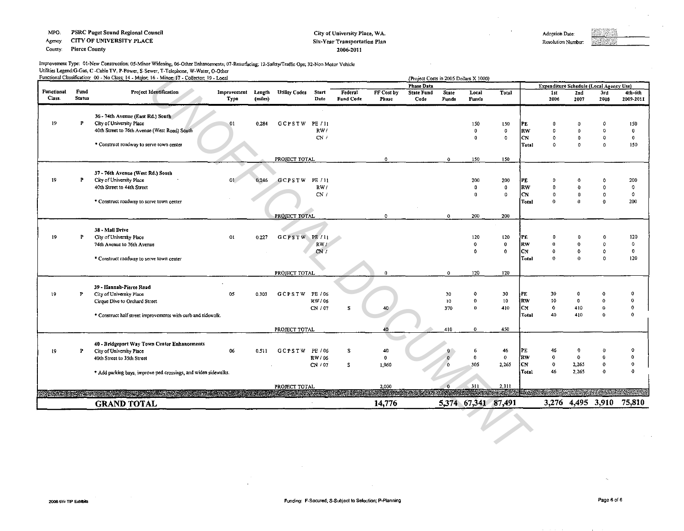Agency: CITY OF UNIVERSITY PLACE

County: Pierce County

#### City of University Place, WA. Six-Year Transportation Plan 2006-2011

 $\sim 100$  km s  $^{-1}$ 

Adoption Date: Resolution Number· **BRANKENN** 

 $\sim$ 

| Improvement Type: 01-New Construction, 05-Minor Widening, 06-Other Enhancements, 07-Resurfacing, 12-Safety/Traffic Ops, 32-Non Motor Vehicle |
|----------------------------------------------------------------------------------------------------------------------------------------------|
| Utilities Legend:G-Gas, C -Cable TV, P-Power, S-Sewer, T-Telephone, W-Water, O-Other                                                         |
| Functional Classification: 00 - No Class: 14 - Major: 16 - Minor: 17 - Collector: 19 - Local                                                 |

|                             |                       |                                                                                                                       |         |         |                                  |               |                      |                     | <b>Phase Data</b>         |                |                 |                     |                    | <b>Expenditure Schedule (Local Agency Use)</b>       |                          |                     |                      |
|-----------------------------|-----------------------|-----------------------------------------------------------------------------------------------------------------------|---------|---------|----------------------------------|---------------|----------------------|---------------------|---------------------------|----------------|-----------------|---------------------|--------------------|------------------------------------------------------|--------------------------|---------------------|----------------------|
| <b>Functional</b><br>Class. | Fund<br><b>Status</b> | <b>Project Identification</b>                                                                                         | Type    | (miles) | Improvement Length Utility Codes | Start<br>Date | Federal<br>Fund Code | FF Cost by<br>Phase | <b>State Fund</b><br>Code | State<br>Funds | Local<br>Funds  | Total               |                    | 1st<br>2006                                          | 2nd<br>2007              | 3rd<br>2008         | 4th-6th<br>2009-2011 |
|                             |                       | 36 - 74th Avenue (East Rd.) South                                                                                     |         |         |                                  |               |                      |                     |                           |                |                 |                     |                    |                                                      |                          |                     |                      |
| 19                          | P                     | City of University Place                                                                                              | $_{01}$ | 0.284   | GCPSTW PE/11                     |               |                      |                     |                           |                | 150             | 150                 | PE                 |                                                      |                          | $^{\circ}$          | 150                  |
|                             |                       | 40th Street to 76th Avenue (West Road) South                                                                          |         |         |                                  | RW/           |                      |                     |                           |                | $\mathbf{0}$    | $\pmb{0}$           | R₩                 | 0                                                    | $\Omega$                 | $\Omega$            | $\bf{0}$             |
|                             |                       |                                                                                                                       |         |         |                                  | CN/           |                      |                     |                           |                | $\bf{0}$        | $\circ$             | $C_{\rm N}$        | $\mathbf 0$                                          | $\bf{0}$                 | $\mathbf 0$         | $\bf{0}$             |
|                             |                       | * Construct roadway to serve town center                                                                              |         |         |                                  |               |                      |                     |                           |                |                 |                     | Total              | $\Omega$                                             | 0                        | $\mathbf{0}$        | 150                  |
|                             |                       |                                                                                                                       |         |         | PROJECT TOTAL                    |               |                      | $\bullet$           |                           | $\mathbf{O}$   | 150             | 150                 |                    |                                                      |                          |                     |                      |
|                             |                       |                                                                                                                       |         |         |                                  |               |                      |                     |                           |                |                 |                     |                    |                                                      |                          |                     |                      |
|                             |                       | 37 - 76th Avenue (West Rd.) South                                                                                     |         |         |                                  |               |                      |                     |                           |                |                 |                     |                    |                                                      |                          |                     |                      |
| 19                          | P                     | City of University Place                                                                                              | 01      | 0,246   | GCPSTW PE/11                     |               |                      |                     |                           |                | 200             | 200                 | PE                 | n                                                    | $\Omega$                 | Ω                   | 200                  |
|                             |                       | 40th Street to 44th Street                                                                                            |         |         |                                  | RW/           |                      |                     |                           |                | $\mathbf{0}$    | $\bf{0}$            | RW                 | $\bf{0}$                                             | ŋ                        | $\Omega$            | $^{\circ}$           |
|                             |                       | * Construct roadway to serve town center                                                                              |         |         |                                  | $CN$ /        |                      |                     |                           |                | $\bf{0}$        | $\mathbf 0$         | CN<br><b>Total</b> | 0<br>$\Omega$                                        | $\bf{0}$<br>$\mathbf{0}$ | $\circ$<br>$\bf{0}$ | $\mathfrak o$<br>200 |
|                             |                       |                                                                                                                       |         |         |                                  |               |                      |                     |                           |                |                 |                     |                    |                                                      |                          |                     |                      |
|                             |                       |                                                                                                                       |         |         | PROJECT TOTAL                    |               |                      | $\bullet$           |                           | $\bullet$      | 200             | 200                 |                    |                                                      |                          |                     |                      |
|                             |                       |                                                                                                                       |         |         |                                  |               |                      |                     |                           |                |                 |                     |                    |                                                      |                          |                     |                      |
|                             |                       | 38 Mall Drive                                                                                                         |         |         |                                  |               |                      |                     |                           |                |                 |                     |                    |                                                      |                          |                     |                      |
| 19 <sup>°</sup>             | P                     | City of University Place                                                                                              | 01      | 0.227   | GCPSTW PE/11                     |               |                      |                     |                           |                | 120<br>$\Omega$ | 120<br>$\mathbf{0}$ | FE<br>RW           | $\Omega$                                             | ß                        | 0<br>$\mathbf 0$    | 120<br>$\mathbf 0$   |
|                             |                       | 74th Avenue to 76th Avenue                                                                                            |         |         |                                  | RWf<br>CN/    |                      |                     |                           |                | $\Omega$        | $\mathbf{0}$        | C <sub>N</sub>     | $\bf{0}$                                             | 0                        | $\bullet$           | $\boldsymbol{0}$     |
|                             |                       | * Construct roadway to serve town center                                                                              |         |         |                                  |               |                      |                     |                           |                |                 |                     | Total              | $\bf{0}$                                             | $\Omega$                 | $\mathbf 0$         | 120                  |
|                             |                       |                                                                                                                       |         |         |                                  |               |                      |                     |                           |                |                 |                     |                    |                                                      |                          |                     |                      |
|                             |                       |                                                                                                                       |         |         | PROJECT TOTAL                    |               |                      | $\Omega$            |                           | $\mathbf{0}$   | 120             | 120                 |                    |                                                      |                          |                     |                      |
|                             |                       | 39 - Hannah-Pierce Road                                                                                               |         |         |                                  |               |                      |                     |                           |                |                 |                     |                    |                                                      |                          |                     |                      |
| 19                          | P                     | City of University Place                                                                                              | 05      | 0.303   | GCPSTW PE / 06                   |               |                      |                     |                           | 30             | Ô               | 30                  | PE                 | 30                                                   | $\mathbf{0}$             | $\circ$             | $\pmb{0}$            |
|                             |                       | Cirque Dive to Orchard Street                                                                                         |         |         |                                  | RW/06         |                      |                     |                           | 10             | Đ.              | 10 <sub>10</sub>    | RW                 | 10                                                   | $\mathbf{0}$             | $\mathbf 0$         | $\mathbf 0$          |
|                             |                       |                                                                                                                       |         |         |                                  | CN / 07       | s                    | 40                  |                           | 370            | $\mathbf{0}$    | 410                 | CN                 | $\mathbf 0$                                          | 410                      | $\bf{0}$            | $\mathbf 0$          |
|                             |                       | * Construct half street improvements with curb and sidewalk.                                                          |         |         |                                  |               |                      |                     |                           |                |                 |                     | <b>Total</b>       | 40                                                   | 410                      | $\mathbf 0$         | $\mathbf 0$          |
|                             |                       |                                                                                                                       |         |         |                                  |               |                      |                     |                           |                |                 |                     |                    |                                                      |                          |                     |                      |
|                             |                       |                                                                                                                       |         |         | PROJECT TOTAL                    |               |                      | 40                  |                           | 410            | $\mathbf{o}$    | 450                 |                    |                                                      |                          |                     |                      |
|                             |                       | 40 - Bridgeport Way Town Center Enhancements                                                                          |         |         |                                  |               |                      |                     |                           |                |                 |                     |                    |                                                      |                          |                     |                      |
| 19                          | P                     | City of University Place                                                                                              | 06      | 0.511   | GCPSTW PE / 06                   |               | s                    | 40                  |                           |                | 6               | 46                  | PE                 | 46                                                   | $\theta$                 | $\Omega$            | $\mathbf 0$          |
|                             |                       | 40th Street to 35th Street                                                                                            |         |         |                                  | RW/06         |                      | $\mathbf{0}$        |                           |                | $\mathbf{0}$    | $\mathbf 0$         | Rw                 | $\mathbf 0$                                          | $\mathbf{0}$             | $\Omega$            | $\mathbf 0$          |
|                             |                       |                                                                                                                       |         |         |                                  | CN / 07       | s                    | 1,960               |                           |                | 305             | 2,265               | CN                 | $\pmb{0}$                                            | 2,265                    | $\circ$             | $\mathfrak o$        |
|                             |                       | * Add parking bays, improve ped crossings, and widen sidewalks.                                                       |         |         |                                  |               |                      |                     |                           |                |                 |                     | Total              | 46                                                   | 2,265                    | $\bullet$           | $\mathbf 0$          |
|                             |                       |                                                                                                                       |         |         | PROJECT TOTAL                    |               |                      | 2,000               |                           | -C             | 311             | 2,311               |                    |                                                      |                          |                     |                      |
|                             |                       | <u> Komponisti na matamatika na katakatan na katakatan na matamatika na matamatika na katakatan na katakatan na m</u> |         |         |                                  |               |                      |                     |                           |                | <b>Except</b>   |                     |                    | <u> 1989 - André Maria Maria Maria André a Parti</u> |                          |                     |                      |
|                             |                       | <b>GRAND TOTAL</b>                                                                                                    |         |         |                                  |               |                      | 14,776              |                           |                |                 | 5,374 67,341 87,491 |                    |                                                      |                          | 3,276 4,495 3,910   | 75,810               |
|                             |                       |                                                                                                                       |         |         |                                  |               |                      |                     |                           |                |                 |                     |                    |                                                      |                          |                     |                      |

 $\sim$   $\sim$ 

 $\sim$ 

 $\bar{s}_n$